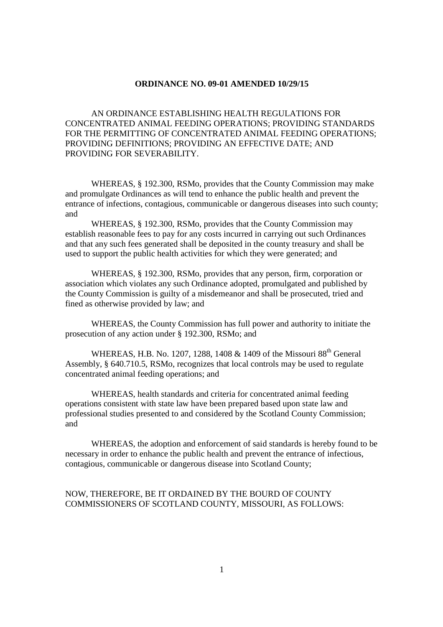#### **ORDINANCE NO. 09-01 AMENDED 10/29/15**

 AN ORDINANCE ESTABLISHING HEALTH REGULATIONS FOR CONCENTRATED ANIMAL FEEDING OPERATIONS; PROVIDING STANDARDS FOR THE PERMITTING OF CONCENTRATED ANIMAL FEEDING OPERATIONS; PROVIDING DEFINITIONS; PROVIDING AN EFFECTIVE DATE; AND PROVIDING FOR SEVERABILITY.

 WHEREAS, § 192.300, RSMo, provides that the County Commission may make and promulgate Ordinances as will tend to enhance the public health and prevent the entrance of infections, contagious, communicable or dangerous diseases into such county; and

 WHEREAS, § 192.300, RSMo, provides that the County Commission may establish reasonable fees to pay for any costs incurred in carrying out such Ordinances and that any such fees generated shall be deposited in the county treasury and shall be used to support the public health activities for which they were generated; and

WHEREAS, § 192.300, RSMo, provides that any person, firm, corporation or association which violates any such Ordinance adopted, promulgated and published by the County Commission is guilty of a misdemeanor and shall be prosecuted, tried and fined as otherwise provided by law; and

WHEREAS, the County Commission has full power and authority to initiate the prosecution of any action under § 192.300, RSMo; and

WHEREAS, H.B. No. 1207, 1288, 1408 & 1409 of the Missouri  $88<sup>th</sup>$  General Assembly, § 640.710.5, RSMo, recognizes that local controls may be used to regulate concentrated animal feeding operations; and

WHEREAS, health standards and criteria for concentrated animal feeding operations consistent with state law have been prepared based upon state law and professional studies presented to and considered by the Scotland County Commission; and

WHEREAS, the adoption and enforcement of said standards is hereby found to be necessary in order to enhance the public health and prevent the entrance of infectious, contagious, communicable or dangerous disease into Scotland County;

# NOW, THEREFORE, BE IT ORDAINED BY THE BOURD OF COUNTY COMMISSIONERS OF SCOTLAND COUNTY, MISSOURI, AS FOLLOWS: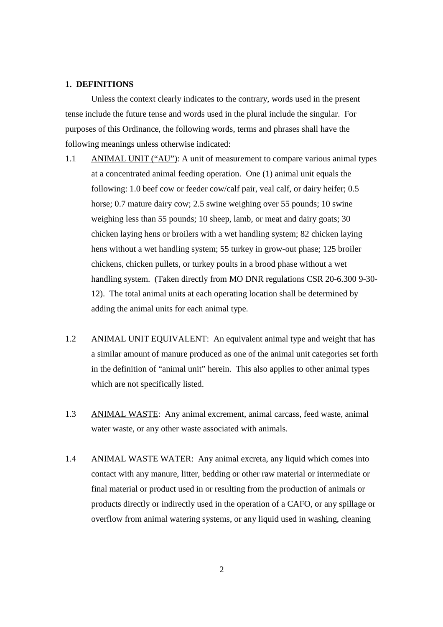#### **1. DEFINITIONS**

 Unless the context clearly indicates to the contrary, words used in the present tense include the future tense and words used in the plural include the singular. For purposes of this Ordinance, the following words, terms and phrases shall have the following meanings unless otherwise indicated:

- 1.1 ANIMAL UNIT ("AU"): A unit of measurement to compare various animal types at a concentrated animal feeding operation. One (1) animal unit equals the following: 1.0 beef cow or feeder cow/calf pair, veal calf, or dairy heifer; 0.5 horse; 0.7 mature dairy cow; 2.5 swine weighing over 55 pounds; 10 swine weighing less than 55 pounds; 10 sheep, lamb, or meat and dairy goats; 30 chicken laying hens or broilers with a wet handling system; 82 chicken laying hens without a wet handling system; 55 turkey in grow-out phase; 125 broiler chickens, chicken pullets, or turkey poults in a brood phase without a wet handling system. (Taken directly from MO DNR regulations CSR 20-6.300 9-30- 12). The total animal units at each operating location shall be determined by adding the animal units for each animal type.
- 1.2 ANIMAL UNIT EQUIVALENT: An equivalent animal type and weight that has a similar amount of manure produced as one of the animal unit categories set forth in the definition of "animal unit" herein. This also applies to other animal types which are not specifically listed.
- 1.3 ANIMAL WASTE: Any animal excrement, animal carcass, feed waste, animal water waste, or any other waste associated with animals.
- 1.4 ANIMAL WASTE WATER: Any animal excreta, any liquid which comes into contact with any manure, litter, bedding or other raw material or intermediate or final material or product used in or resulting from the production of animals or products directly or indirectly used in the operation of a CAFO, or any spillage or overflow from animal watering systems, or any liquid used in washing, cleaning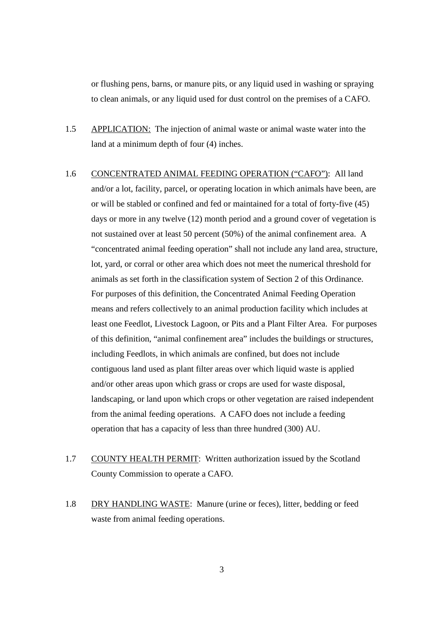or flushing pens, barns, or manure pits, or any liquid used in washing or spraying to clean animals, or any liquid used for dust control on the premises of a CAFO.

- 1.5 APPLICATION: The injection of animal waste or animal waste water into the land at a minimum depth of four (4) inches.
- 1.6 CONCENTRATED ANIMAL FEEDING OPERATION ("CAFO"): All land and/or a lot, facility, parcel, or operating location in which animals have been, are or will be stabled or confined and fed or maintained for a total of forty-five (45) days or more in any twelve (12) month period and a ground cover of vegetation is not sustained over at least 50 percent (50%) of the animal confinement area. A "concentrated animal feeding operation" shall not include any land area, structure, lot, yard, or corral or other area which does not meet the numerical threshold for animals as set forth in the classification system of Section 2 of this Ordinance. For purposes of this definition, the Concentrated Animal Feeding Operation means and refers collectively to an animal production facility which includes at least one Feedlot, Livestock Lagoon, or Pits and a Plant Filter Area. For purposes of this definition, "animal confinement area" includes the buildings or structures, including Feedlots, in which animals are confined, but does not include contiguous land used as plant filter areas over which liquid waste is applied and/or other areas upon which grass or crops are used for waste disposal, landscaping, or land upon which crops or other vegetation are raised independent from the animal feeding operations. A CAFO does not include a feeding operation that has a capacity of less than three hundred (300) AU.
- 1.7 COUNTY HEALTH PERMIT: Written authorization issued by the Scotland County Commission to operate a CAFO.
- 1.8 DRY HANDLING WASTE: Manure (urine or feces), litter, bedding or feed waste from animal feeding operations.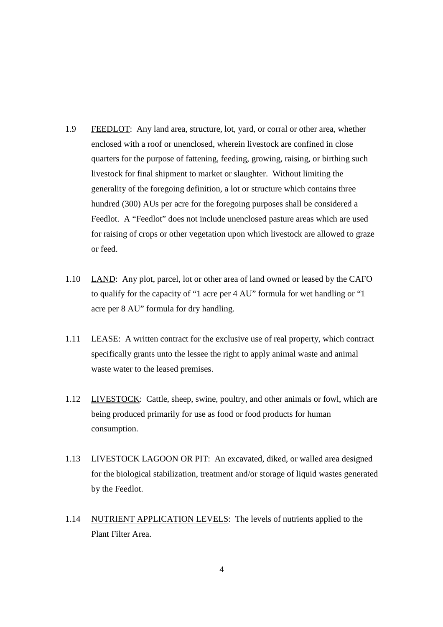- 1.9 FEEDLOT: Any land area, structure, lot, yard, or corral or other area, whether enclosed with a roof or unenclosed, wherein livestock are confined in close quarters for the purpose of fattening, feeding, growing, raising, or birthing such livestock for final shipment to market or slaughter. Without limiting the generality of the foregoing definition, a lot or structure which contains three hundred (300) AUs per acre for the foregoing purposes shall be considered a Feedlot. A "Feedlot" does not include unenclosed pasture areas which are used for raising of crops or other vegetation upon which livestock are allowed to graze or feed.
- 1.10 LAND: Any plot, parcel, lot or other area of land owned or leased by the CAFO to qualify for the capacity of "1 acre per 4 AU" formula for wet handling or "1 acre per 8 AU" formula for dry handling.
- 1.11 LEASE: A written contract for the exclusive use of real property, which contract specifically grants unto the lessee the right to apply animal waste and animal waste water to the leased premises.
- 1.12 LIVESTOCK: Cattle, sheep, swine, poultry, and other animals or fowl, which are being produced primarily for use as food or food products for human consumption.
- 1.13 LIVESTOCK LAGOON OR PIT: An excavated, diked, or walled area designed for the biological stabilization, treatment and/or storage of liquid wastes generated by the Feedlot.
- 1.14 NUTRIENT APPLICATION LEVELS: The levels of nutrients applied to the Plant Filter Area.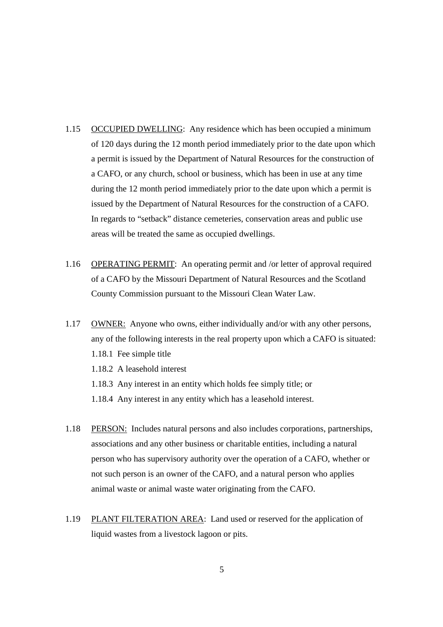- 1.15 OCCUPIED DWELLING: Any residence which has been occupied a minimum of 120 days during the 12 month period immediately prior to the date upon which a permit is issued by the Department of Natural Resources for the construction of a CAFO, or any church, school or business, which has been in use at any time during the 12 month period immediately prior to the date upon which a permit is issued by the Department of Natural Resources for the construction of a CAFO. In regards to "setback" distance cemeteries, conservation areas and public use areas will be treated the same as occupied dwellings.
- 1.16 OPERATING PERMIT: An operating permit and /or letter of approval required of a CAFO by the Missouri Department of Natural Resources and the Scotland County Commission pursuant to the Missouri Clean Water Law.
- 1.17 OWNER: Anyone who owns, either individually and/or with any other persons, any of the following interests in the real property upon which a CAFO is situated: 1.18.1 Fee simple title 1.18.2 A leasehold interest 1.18.3 Any interest in an entity which holds fee simply title; or 1.18.4 Any interest in any entity which has a leasehold interest.
- 1.18 PERSON: Includes natural persons and also includes corporations, partnerships, associations and any other business or charitable entities, including a natural person who has supervisory authority over the operation of a CAFO, whether or not such person is an owner of the CAFO, and a natural person who applies animal waste or animal waste water originating from the CAFO.
- 1.19 PLANT FILTERATION AREA: Land used or reserved for the application of liquid wastes from a livestock lagoon or pits.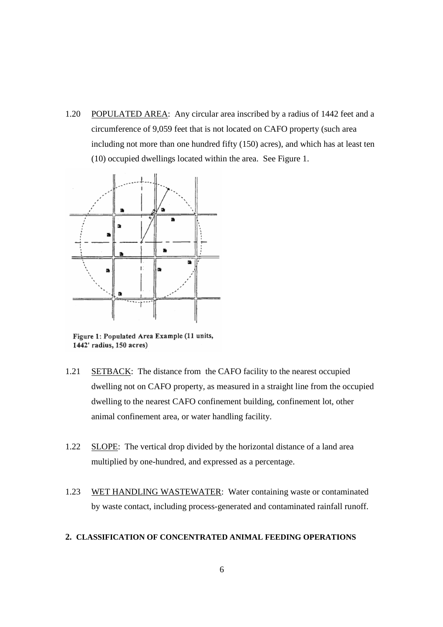1.20 POPULATED AREA: Any circular area inscribed by a radius of 1442 feet and a circumference of 9,059 feet that is not located on CAFO property (such area including not more than one hundred fifty (150) acres), and which has at least ten (10) occupied dwellings located within the area. See Figure 1.



Figure 1: Populated Area Example (11 units, 1442' radius, 150 acres)

- 1.21 SETBACK: The distance from the CAFO facility to the nearest occupied dwelling not on CAFO property, as measured in a straight line from the occupied dwelling to the nearest CAFO confinement building, confinement lot, other animal confinement area, or water handling facility.
- 1.22 SLOPE: The vertical drop divided by the horizontal distance of a land area multiplied by one-hundred, and expressed as a percentage.
- 1.23 WET HANDLING WASTEWATER: Water containing waste or contaminated by waste contact, including process-generated and contaminated rainfall runoff.

## **2. CLASSIFICATION OF CONCENTRATED ANIMAL FEEDING OPERATIONS**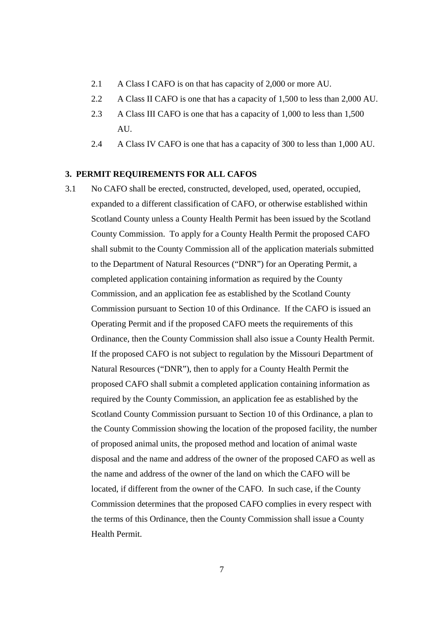- 2.1 A Class I CAFO is on that has capacity of 2,000 or more AU.
- 2.2 A Class II CAFO is one that has a capacity of 1,500 to less than 2,000 AU.
- 2.3 A Class III CAFO is one that has a capacity of 1,000 to less than 1,500 AU.
- 2.4 A Class IV CAFO is one that has a capacity of 300 to less than 1,000 AU.

#### **3. PERMIT REQUIREMENTS FOR ALL CAFOS**

3.1 No CAFO shall be erected, constructed, developed, used, operated, occupied, expanded to a different classification of CAFO, or otherwise established within Scotland County unless a County Health Permit has been issued by the Scotland County Commission. To apply for a County Health Permit the proposed CAFO shall submit to the County Commission all of the application materials submitted to the Department of Natural Resources ("DNR") for an Operating Permit, a completed application containing information as required by the County Commission, and an application fee as established by the Scotland County Commission pursuant to Section 10 of this Ordinance. If the CAFO is issued an Operating Permit and if the proposed CAFO meets the requirements of this Ordinance, then the County Commission shall also issue a County Health Permit. If the proposed CAFO is not subject to regulation by the Missouri Department of Natural Resources ("DNR"), then to apply for a County Health Permit the proposed CAFO shall submit a completed application containing information as required by the County Commission, an application fee as established by the Scotland County Commission pursuant to Section 10 of this Ordinance, a plan to the County Commission showing the location of the proposed facility, the number of proposed animal units, the proposed method and location of animal waste disposal and the name and address of the owner of the proposed CAFO as well as the name and address of the owner of the land on which the CAFO will be located, if different from the owner of the CAFO. In such case, if the County Commission determines that the proposed CAFO complies in every respect with the terms of this Ordinance, then the County Commission shall issue a County Health Permit.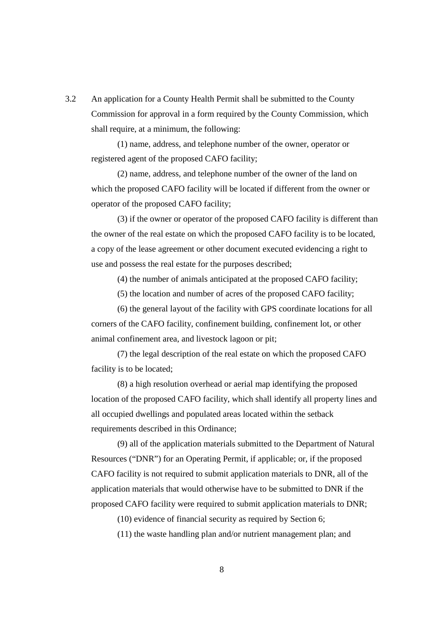3.2 An application for a County Health Permit shall be submitted to the County Commission for approval in a form required by the County Commission, which shall require, at a minimum, the following:

(1) name, address, and telephone number of the owner, operator or registered agent of the proposed CAFO facility;

(2) name, address, and telephone number of the owner of the land on which the proposed CAFO facility will be located if different from the owner or operator of the proposed CAFO facility;

(3) if the owner or operator of the proposed CAFO facility is different than the owner of the real estate on which the proposed CAFO facility is to be located, a copy of the lease agreement or other document executed evidencing a right to use and possess the real estate for the purposes described;

(4) the number of animals anticipated at the proposed CAFO facility;

(5) the location and number of acres of the proposed CAFO facility;

(6) the general layout of the facility with GPS coordinate locations for all corners of the CAFO facility, confinement building, confinement lot, or other animal confinement area, and livestock lagoon or pit;

(7) the legal description of the real estate on which the proposed CAFO facility is to be located;

(8) a high resolution overhead or aerial map identifying the proposed location of the proposed CAFO facility, which shall identify all property lines and all occupied dwellings and populated areas located within the setback requirements described in this Ordinance;

(9) all of the application materials submitted to the Department of Natural Resources ("DNR") for an Operating Permit, if applicable; or, if the proposed CAFO facility is not required to submit application materials to DNR, all of the application materials that would otherwise have to be submitted to DNR if the proposed CAFO facility were required to submit application materials to DNR;

(10) evidence of financial security as required by Section 6;

(11) the waste handling plan and/or nutrient management plan; and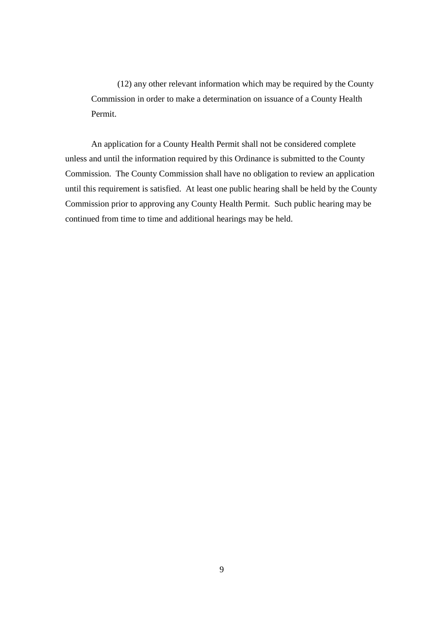(12) any other relevant information which may be required by the County Commission in order to make a determination on issuance of a County Health Permit.

An application for a County Health Permit shall not be considered complete unless and until the information required by this Ordinance is submitted to the County Commission. The County Commission shall have no obligation to review an application until this requirement is satisfied. At least one public hearing shall be held by the County Commission prior to approving any County Health Permit. Such public hearing may be continued from time to time and additional hearings may be held.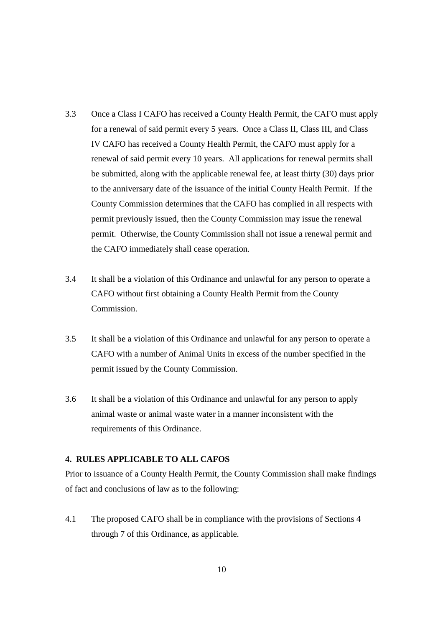- 3.3 Once a Class I CAFO has received a County Health Permit, the CAFO must apply for a renewal of said permit every 5 years. Once a Class II, Class III, and Class IV CAFO has received a County Health Permit, the CAFO must apply for a renewal of said permit every 10 years. All applications for renewal permits shall be submitted, along with the applicable renewal fee, at least thirty (30) days prior to the anniversary date of the issuance of the initial County Health Permit. If the County Commission determines that the CAFO has complied in all respects with permit previously issued, then the County Commission may issue the renewal permit. Otherwise, the County Commission shall not issue a renewal permit and the CAFO immediately shall cease operation.
- 3.4 It shall be a violation of this Ordinance and unlawful for any person to operate a CAFO without first obtaining a County Health Permit from the County Commission.
- 3.5 It shall be a violation of this Ordinance and unlawful for any person to operate a CAFO with a number of Animal Units in excess of the number specified in the permit issued by the County Commission.
- 3.6 It shall be a violation of this Ordinance and unlawful for any person to apply animal waste or animal waste water in a manner inconsistent with the requirements of this Ordinance.

## **4. RULES APPLICABLE TO ALL CAFOS**

Prior to issuance of a County Health Permit, the County Commission shall make findings of fact and conclusions of law as to the following:

4.1 The proposed CAFO shall be in compliance with the provisions of Sections 4 through 7 of this Ordinance, as applicable.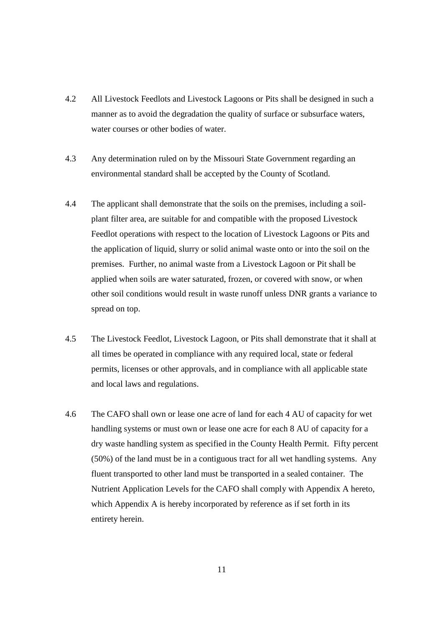- 4.2 All Livestock Feedlots and Livestock Lagoons or Pits shall be designed in such a manner as to avoid the degradation the quality of surface or subsurface waters, water courses or other bodies of water.
- 4.3 Any determination ruled on by the Missouri State Government regarding an environmental standard shall be accepted by the County of Scotland.
- 4.4 The applicant shall demonstrate that the soils on the premises, including a soilplant filter area, are suitable for and compatible with the proposed Livestock Feedlot operations with respect to the location of Livestock Lagoons or Pits and the application of liquid, slurry or solid animal waste onto or into the soil on the premises. Further, no animal waste from a Livestock Lagoon or Pit shall be applied when soils are water saturated, frozen, or covered with snow, or when other soil conditions would result in waste runoff unless DNR grants a variance to spread on top.
- 4.5 The Livestock Feedlot, Livestock Lagoon, or Pits shall demonstrate that it shall at all times be operated in compliance with any required local, state or federal permits, licenses or other approvals, and in compliance with all applicable state and local laws and regulations.
- 4.6 The CAFO shall own or lease one acre of land for each 4 AU of capacity for wet handling systems or must own or lease one acre for each 8 AU of capacity for a dry waste handling system as specified in the County Health Permit. Fifty percent (50%) of the land must be in a contiguous tract for all wet handling systems. Any fluent transported to other land must be transported in a sealed container. The Nutrient Application Levels for the CAFO shall comply with Appendix A hereto, which Appendix A is hereby incorporated by reference as if set forth in its entirety herein.

11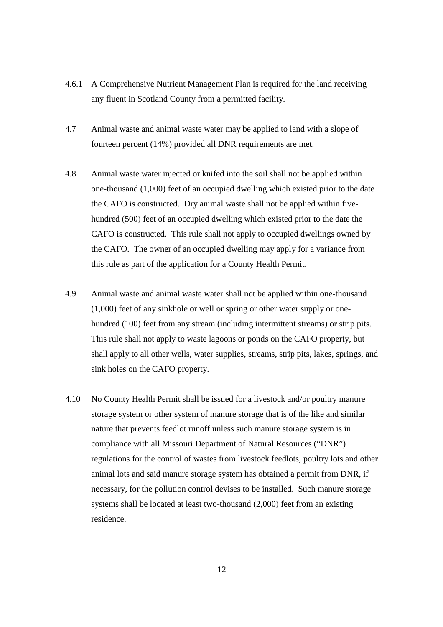- 4.6.1 A Comprehensive Nutrient Management Plan is required for the land receiving any fluent in Scotland County from a permitted facility.
- 4.7 Animal waste and animal waste water may be applied to land with a slope of fourteen percent (14%) provided all DNR requirements are met.
- 4.8 Animal waste water injected or knifed into the soil shall not be applied within one-thousand (1,000) feet of an occupied dwelling which existed prior to the date the CAFO is constructed. Dry animal waste shall not be applied within fivehundred (500) feet of an occupied dwelling which existed prior to the date the CAFO is constructed. This rule shall not apply to occupied dwellings owned by the CAFO. The owner of an occupied dwelling may apply for a variance from this rule as part of the application for a County Health Permit.
- 4.9 Animal waste and animal waste water shall not be applied within one-thousand (1,000) feet of any sinkhole or well or spring or other water supply or onehundred (100) feet from any stream (including intermittent streams) or strip pits. This rule shall not apply to waste lagoons or ponds on the CAFO property, but shall apply to all other wells, water supplies, streams, strip pits, lakes, springs, and sink holes on the CAFO property.
- 4.10 No County Health Permit shall be issued for a livestock and/or poultry manure storage system or other system of manure storage that is of the like and similar nature that prevents feedlot runoff unless such manure storage system is in compliance with all Missouri Department of Natural Resources ("DNR") regulations for the control of wastes from livestock feedlots, poultry lots and other animal lots and said manure storage system has obtained a permit from DNR, if necessary, for the pollution control devises to be installed. Such manure storage systems shall be located at least two-thousand (2,000) feet from an existing residence.

12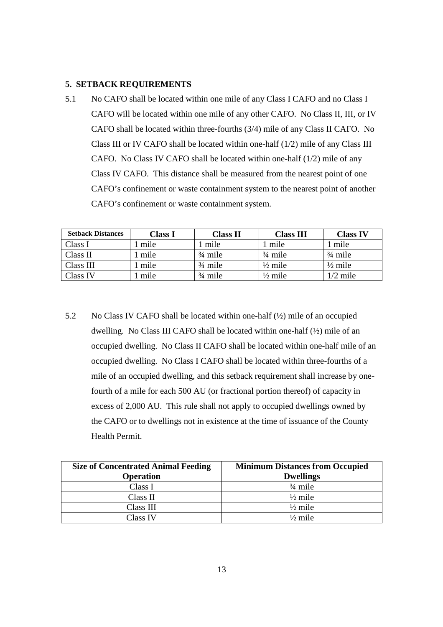### **5. SETBACK REQUIREMENTS**

5.1 No CAFO shall be located within one mile of any Class I CAFO and no Class I CAFO will be located within one mile of any other CAFO. No Class II, III, or IV CAFO shall be located within three-fourths (3/4) mile of any Class II CAFO. No Class III or IV CAFO shall be located within one-half (1/2) mile of any Class III CAFO. No Class IV CAFO shall be located within one-half (1/2) mile of any Class IV CAFO. This distance shall be measured from the nearest point of one CAFO's confinement or waste containment system to the nearest point of another CAFO's confinement or waste containment system.

| <b>Setback Distances</b> | Class I | Class II           | <b>Class III</b>   | <b>Class IV</b>    |
|--------------------------|---------|--------------------|--------------------|--------------------|
| Class I                  | mile    | mile               | mile               | $\frac{1}{2}$ mile |
| Class II                 | mile    | $\frac{3}{4}$ mile | $\frac{3}{4}$ mile | $\frac{3}{4}$ mile |
| Class III                | mile    | $\frac{3}{4}$ mile | $\frac{1}{2}$ mile | $\frac{1}{2}$ mile |
| Class IV                 | mile    | $\frac{3}{4}$ mile | $\frac{1}{2}$ mile | $1/2$ mile         |

5.2 No Class IV CAFO shall be located within one-half (½) mile of an occupied dwelling. No Class III CAFO shall be located within one-half (½) mile of an occupied dwelling. No Class II CAFO shall be located within one-half mile of an occupied dwelling. No Class I CAFO shall be located within three-fourths of a mile of an occupied dwelling, and this setback requirement shall increase by onefourth of a mile for each 500 AU (or fractional portion thereof) of capacity in excess of 2,000 AU. This rule shall not apply to occupied dwellings owned by the CAFO or to dwellings not in existence at the time of issuance of the County Health Permit.

| <b>Size of Concentrated Animal Feeding</b> | <b>Minimum Distances from Occupied</b> |  |
|--------------------------------------------|----------------------------------------|--|
| <b>Operation</b>                           | <b>Dwellings</b>                       |  |
| Class I                                    | $\frac{3}{4}$ mile                     |  |
| Class II                                   | $\frac{1}{2}$ mile                     |  |
| Class III                                  | $\frac{1}{2}$ mile                     |  |
| Class IV                                   | $\frac{1}{2}$ mile                     |  |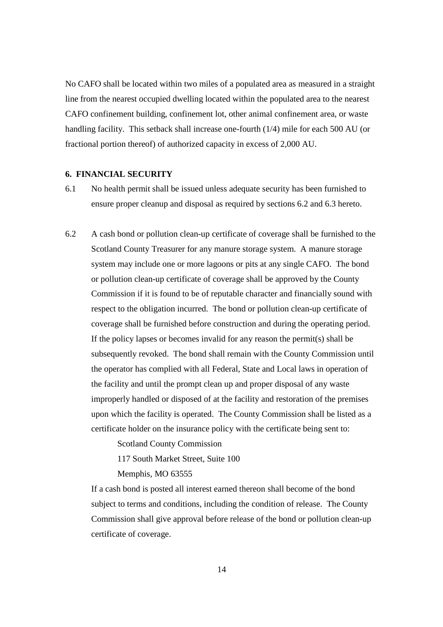No CAFO shall be located within two miles of a populated area as measured in a straight line from the nearest occupied dwelling located within the populated area to the nearest CAFO confinement building, confinement lot, other animal confinement area, or waste handling facility. This setback shall increase one-fourth (1/4) mile for each 500 AU (or fractional portion thereof) of authorized capacity in excess of 2,000 AU.

## **6. FINANCIAL SECURITY**

- 6.1 No health permit shall be issued unless adequate security has been furnished to ensure proper cleanup and disposal as required by sections 6.2 and 6.3 hereto.
- 6.2 A cash bond or pollution clean-up certificate of coverage shall be furnished to the Scotland County Treasurer for any manure storage system. A manure storage system may include one or more lagoons or pits at any single CAFO. The bond or pollution clean-up certificate of coverage shall be approved by the County Commission if it is found to be of reputable character and financially sound with respect to the obligation incurred. The bond or pollution clean-up certificate of coverage shall be furnished before construction and during the operating period. If the policy lapses or becomes invalid for any reason the permit(s) shall be subsequently revoked. The bond shall remain with the County Commission until the operator has complied with all Federal, State and Local laws in operation of the facility and until the prompt clean up and proper disposal of any waste improperly handled or disposed of at the facility and restoration of the premises upon which the facility is operated. The County Commission shall be listed as a certificate holder on the insurance policy with the certificate being sent to:

Scotland County Commission

117 South Market Street, Suite 100

Memphis, MO 63555

If a cash bond is posted all interest earned thereon shall become of the bond subject to terms and conditions, including the condition of release. The County Commission shall give approval before release of the bond or pollution clean-up certificate of coverage.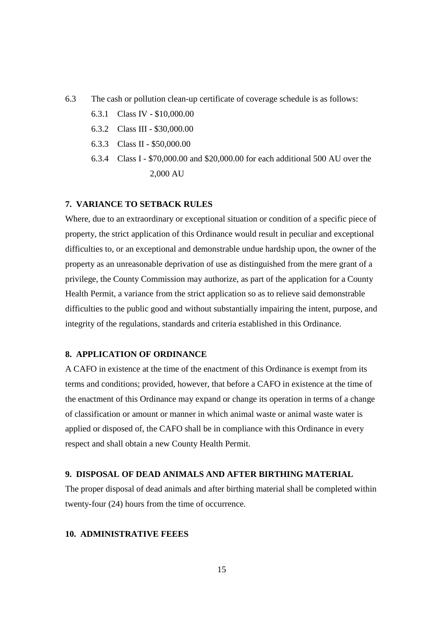- 6.3 The cash or pollution clean-up certificate of coverage schedule is as follows:
	- 6.3.1 Class IV \$10,000.00
	- 6.3.2 Class III \$30,000.00
	- 6.3.3 Class II \$50,000.00
	- 6.3.4 Class I \$70,000.00 and \$20,000.00 for each additional 500 AU over the 2,000 AU

# **7. VARIANCE TO SETBACK RULES**

Where, due to an extraordinary or exceptional situation or condition of a specific piece of property, the strict application of this Ordinance would result in peculiar and exceptional difficulties to, or an exceptional and demonstrable undue hardship upon, the owner of the property as an unreasonable deprivation of use as distinguished from the mere grant of a privilege, the County Commission may authorize, as part of the application for a County Health Permit, a variance from the strict application so as to relieve said demonstrable difficulties to the public good and without substantially impairing the intent, purpose, and integrity of the regulations, standards and criteria established in this Ordinance.

## **8. APPLICATION OF ORDINANCE**

A CAFO in existence at the time of the enactment of this Ordinance is exempt from its terms and conditions; provided, however, that before a CAFO in existence at the time of the enactment of this Ordinance may expand or change its operation in terms of a change of classification or amount or manner in which animal waste or animal waste water is applied or disposed of, the CAFO shall be in compliance with this Ordinance in every respect and shall obtain a new County Health Permit.

# **9. DISPOSAL OF DEAD ANIMALS AND AFTER BIRTHING MATERIAL**

The proper disposal of dead animals and after birthing material shall be completed within twenty-four (24) hours from the time of occurrence.

# **10. ADMINISTRATIVE FEEES**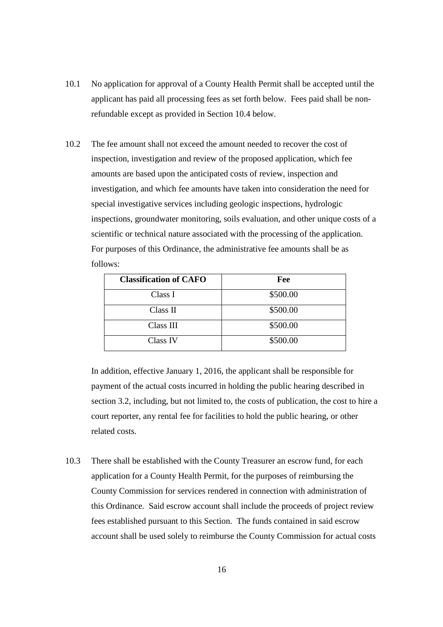- 10.1 No application for approval of a County Health Permit shall be accepted until the applicant has paid all processing fees as set forth below. Fees paid shall be nonrefundable except as provided in Section 10.4 below.
- 10.2 The fee amount shall not exceed the amount needed to recover the cost of inspection, investigation and review of the proposed application, which fee amounts are based upon the anticipated costs of review, inspection and investigation, and which fee amounts have taken into consideration the need for special investigative services including geologic inspections, hydrologic inspections, groundwater monitoring, soils evaluation, and other unique costs of a scientific or technical nature associated with the processing of the application. For purposes of this Ordinance, the administrative fee amounts shall be as follows:

| <b>Classification of CAFO</b> | Fee      |
|-------------------------------|----------|
| Class I                       | \$500.00 |
| Class II                      | \$500.00 |
| Class III                     | \$500.00 |
| Class IV                      | \$500.00 |

 In addition, effective January 1, 2016, the applicant shall be responsible for payment of the actual costs incurred in holding the public hearing described in section 3.2, including, but not limited to, the costs of publication, the cost to hire a court reporter, any rental fee for facilities to hold the public hearing, or other related costs.

10.3 There shall be established with the County Treasurer an escrow fund, for each application for a County Health Permit, for the purposes of reimbursing the County Commission for services rendered in connection with administration of this Ordinance. Said escrow account shall include the proceeds of project review fees established pursuant to this Section. The funds contained in said escrow account shall be used solely to reimburse the County Commission for actual costs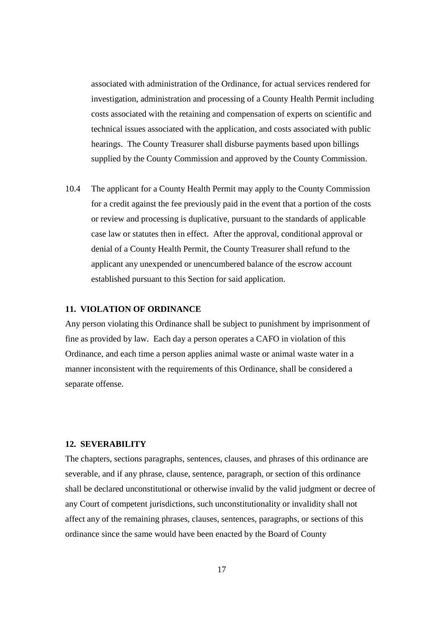associated with administration of the Ordinance, for actual services rendered for investigation, administration and processing of a County Health Permit including costs associated with the retaining and compensation of experts on scientific and technical issues associated with the application, and costs associated with public hearings. The County Treasurer shall disburse payments based upon billings supplied by the County Commission and approved by the County Commission.

10.4 The applicant for a County Health Permit may apply to the County Commission for a credit against the fee previously paid in the event that a portion of the costs or review and processing is duplicative, pursuant to the standards of applicable case law or statutes then in effect. After the approval, conditional approval or denial of a County Health Permit, the County Treasurer shall refund to the applicant any unexpended or unencumbered balance of the escrow account established pursuant to this Section for said application.

# **11. VIOLATION OF ORDINANCE**

Any person violating this Ordinance shall be subject to punishment by imprisonment of fine as provided by law. Each day a person operates a CAFO in violation of this Ordinance, and each time a person applies animal waste or animal waste water in a manner inconsistent with the requirements of this Ordinance, shall be considered a separate offense.

# **12. SEVERABILITY**

The chapters, sections paragraphs, sentences, clauses, and phrases of this ordinance are severable, and if any phrase, clause, sentence, paragraph, or section of this ordinance shall be declared unconstitutional or otherwise invalid by the valid judgment or decree of any Court of competent jurisdictions, such unconstitutionality or invalidity shall not affect any of the remaining phrases, clauses, sentences, paragraphs, or sections of this ordinance since the same would have been enacted by the Board of County